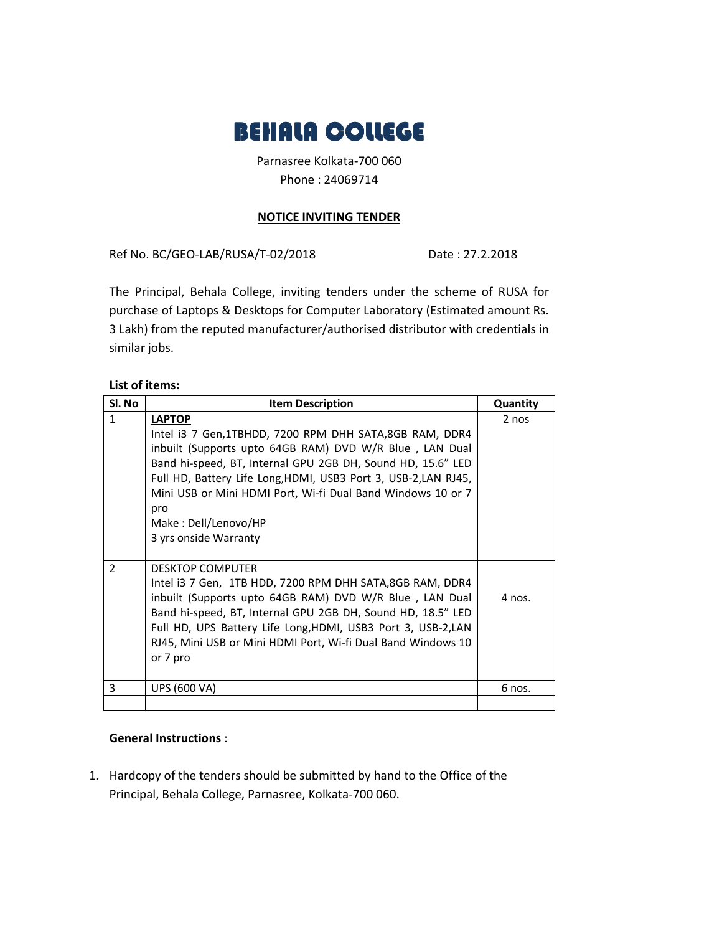

Parnasree Kolkata-700 060 Phone : 24069714

## **NOTICE INVITING TENDER**

Ref No. BC/GEO-LAB/RUSA/T-02/2018 Date: 27.2.2018

The Principal, Behala College, inviting tenders under the scheme of RUSA for purchase of Laptops & Desktops for Computer Laboratory (Estimated amount Rs. 3 Lakh) from the reputed manufacturer/authorised distributor with credentials in similar jobs.

## **List of items:**

| Sl. No         | <b>Item Description</b>                                                                                                                                                                                                                                                                                                                                    | Quantity |
|----------------|------------------------------------------------------------------------------------------------------------------------------------------------------------------------------------------------------------------------------------------------------------------------------------------------------------------------------------------------------------|----------|
| $\mathbf{1}$   | <b>LAPTOP</b><br>Intel i3 7 Gen, 1TBHDD, 7200 RPM DHH SATA, 8GB RAM, DDR4<br>inbuilt (Supports upto 64GB RAM) DVD W/R Blue, LAN Dual<br>Band hi-speed, BT, Internal GPU 2GB DH, Sound HD, 15.6" LED<br>Full HD, Battery Life Long, HDMI, USB3 Port 3, USB-2, LAN RJ45,<br>Mini USB or Mini HDMI Port, Wi-fi Dual Band Windows 10 or 7                      | 2 nos    |
|                | pro<br>Make: Dell/Lenovo/HP<br>3 yrs onside Warranty                                                                                                                                                                                                                                                                                                       |          |
| $\overline{2}$ | <b>DESKTOP COMPUTER</b><br>Intel i3 7 Gen, 1TB HDD, 7200 RPM DHH SATA,8GB RAM, DDR4<br>inbuilt (Supports upto 64GB RAM) DVD W/R Blue, LAN Dual<br>Band hi-speed, BT, Internal GPU 2GB DH, Sound HD, 18.5" LED<br>Full HD, UPS Battery Life Long, HDMI, USB3 Port 3, USB-2, LAN<br>RJ45, Mini USB or Mini HDMI Port, Wi-fi Dual Band Windows 10<br>or 7 pro | 4 nos.   |
| 3              | UPS (600 VA)                                                                                                                                                                                                                                                                                                                                               | 6 nos.   |
|                |                                                                                                                                                                                                                                                                                                                                                            |          |

## **General Instructions** :

1. Hardcopy of the tenders should be submitted by hand to the Office of the Principal, Behala College, Parnasree, Kolkata-700 060.